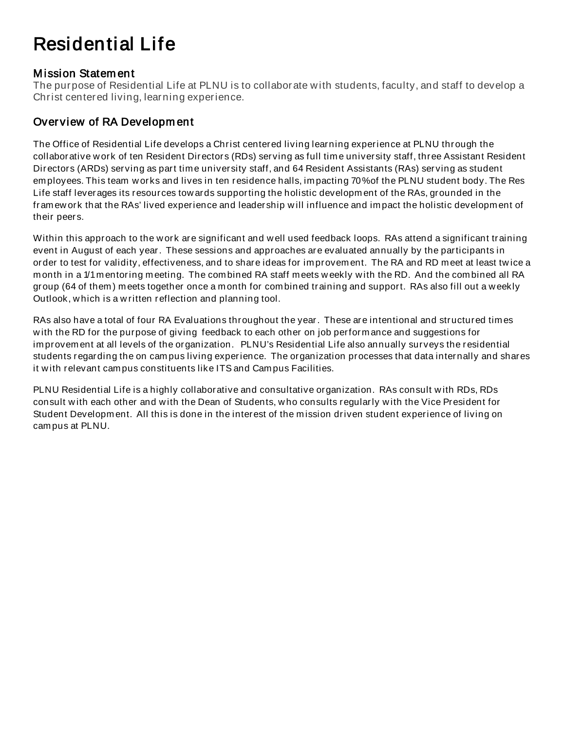# Residential Life

# M ission Statem ent

The purpose of Residential Life at PLNU is to collaborate w ith students, faculty, and staff to develop a Christ centered living, learning experience.

# Over view of RA Developm ent

The Office of Residential Life develops a Christ centered living learning experience at PLNU through the collaborative w ork of ten Resident Directors (RDs) serving as full tim e university staff, three Assistant Resident Directors (ARDs) serving as part time university staff, and 64 Resident Assistants (RAs) serving as student em ployees. This team w orks and lives in ten residence halls, im pacting 70% of the PLNU student body. The Res Life staff leverages its resources tow ards supporting the holistic developm ent of the RAs, grounded in the framew ork that the RAs' lived experience and leadership w ill influence and im pact the holistic developm ent of their peers.

Within this approach to the work are significant and well used feedback loops. RAs attend a significant training event in August of each year. These sessions and approaches are evaluated annually by the participants in order to test for validity, effectiveness, and to share ideas for im provem ent. The RA and RD meet at least tw ice a m onth in a 1/1 m entoring meeting. The combined RA staff meets weekly with the RD. And the combined all RA group (64 of them ) m eets together once a m onth for com bined training and support. RAs also fill out a w eekly Outlook, w hich is a w ritten reflection and planning tool.

RAs also have a total of four RA Evaluations throughout the year. These are intentional and structured tim es w ith the RD for the purpose of giving feedback to each other on job perform ance and suggestions for im provem ent at all levels of the organization. PLNU's Residential Life also annually surveys the residential students regarding the on cam pus living experience. The organization processes that data internally and shares it with relevant campus constituents like ITS and Campus Facilities.

PLNU Residential Life is a highly collaborative and consultative organization. RAs consult w ith RDs, RDs consult w ith each other and w ith the Dean of Students, w ho consults regularly w ith the Vice President for Student Developm ent. All this is done in the interest of the m ission driven student experience of living on cam pus at PLNU.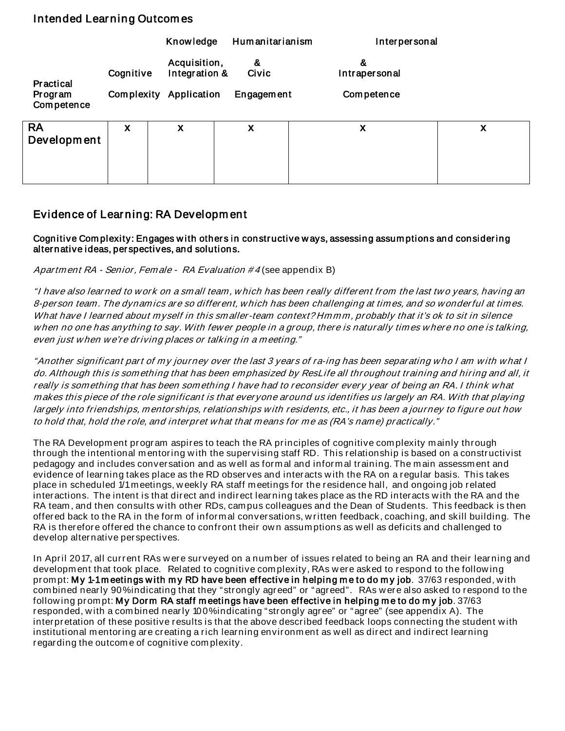# Intended Lear ning Outcom es

|                          |           | Knowledge                     | Humanitarianism   | Interpersonal      |   |
|--------------------------|-----------|-------------------------------|-------------------|--------------------|---|
| <b>Practical</b>         | Cognitive | Acquisition,<br>Integration & | &<br><b>Civic</b> | &<br>Intrapersonal |   |
| Program<br>Competence    |           | Complexity Application        | <b>Engagement</b> | Competence         |   |
| <b>RA</b><br>Development | X         | X                             | х                 | X                  | X |

# Evidence of Lear ning: RA Developm ent

## Cognitive Complexity: Engages with others in constructive ways, assessing assumptions and considering alter native ideas, per spectives, and solutions.

Apartm ent RA - Senior, Fem ale - RA Evaluation #4 (see appendix B)

"I have also learned to w ork on a sm all team , w hich has been really different from the last tw o years, having an 8-person team. The dynamics are so different, which has been challenging at times, and so wonderful at times. What have I learned about myself in this smaller-team context? Hmmm, probably that it's ok to sit in silence <sup>w</sup> hen no one has anything to say. With few er people in a group, there is naturally tim es w here no one is talking, even just when we're driving places or talking in a meeting."

"Another significant part of my journey over the last 3 years of ra-ing has been separating who I am with what I do. Although this is som ething that has been em phasized by ResLife all throughout training and hiring and all, it really is something that has been something I have had to reconsider every year of being an RA. I think w hat <sup>m</sup> akes this piece of the role significant is that everyone around us identifies us largely an RA. With that playing largely into friendships, m entorships, relationships w ith residents, etc., it has been a journey to figure out how to hold that, hold the role, and interpret what that means for me as (RA's name) practically."

The RA Developm ent program aspires to teach the RA principles of cognitive com plexity m ainly through through the intentional m entoring w ith the supervising staff RD. This relationship is based on a constructivist pedagogy and includes conversation and as w ell as formal and inform al training. The m ain assessm ent and evidence of learning takes place as the RD observes and interacts w ith the RA on a regular basis. This takes place in scheduled 1/1 meetings, w eekly RA staff m eetings for the residence hall, and ongoing job related interactions. The intent is that direct and indirect learning takes place as the RD interacts w ith the RA and the RA team , and then consults w ith other RDs, campus colleagues and the Dean of Students. This feedback is then offered back to the RA in the form of inform al conversations, w ritten feedback, coaching, and skill building. The RA is therefore offered the chance to confront their ow n assum ptions as w ell as deficits and challenged to develop alternative perspectives.

In April 2017, all current RAs w ere surveyed on a num ber of issues related to being an RA and their learning and developm ent that took place. Related to cognitive com plexity, RAs w ere asked to respond to the follow ing prom pt: My 1-1 m eetings w ith m y RD have been effective in helping m e to do m y job. 37/63 responded, w ith com bined nearly 90% indicating that they "strongly agreed" or "agreed". RAs w ere also asked to respond to the following prompt: My Dorm RA staff meetings have been effective in helping me to do my job. 37/63 responded, with a combined nearly 100% indicating "strongly agree" or "agree" (see appendix A). The interpretation of these positive results is that the above described feedback loops connecting the student w ith institutional m entoring are creating a rich learning environm ent as w ell as direct and indirect learning regarding the outcom e of cognitive com plexity.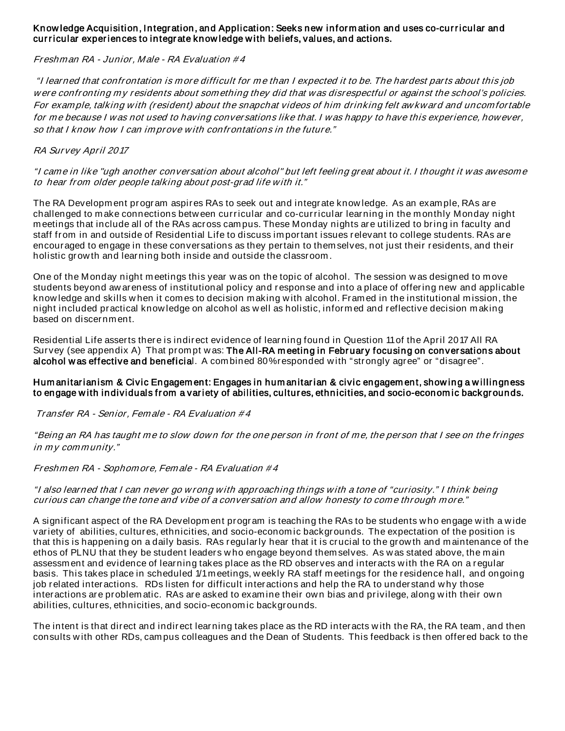### Know ledge Acquisition, Integration, and Application: Seeks new information and uses co-curricular and curricular experiences to integrate know ledge with beliefs, values, and actions.

### Freshman RA - Junior, Male - RA Evaluation # 4

"I learned that confrontation is m ore difficult for m e than I expected it to be. The hardest parts about this job were confronting my residents about something they did that was disrespectful or against the school's policies. For example, talking with (resident) about the snapchat videos of him drinking felt aw kw ard and uncomfortable for me because I was not used to having conversations like that. I was happy to have this experience, however, so that I know how I can im prove w ith confrontations in the future."

#### RA Survey April 2017

"I came in like "ugh another conversation about alcohol" but left feeling great about it. I thought it w as aw esom <sup>e</sup> to hear from older people talking about post-grad life w ith it."

The RA Developm ent program aspires RAs to seek out and integrate know ledge. As an exam ple, RAs are challenged to m ake connections betw een curricular and co-curricular learning in the m onthly Monday night m eetings that include all of the RAs across cam pus. These Monday nights are utilized to bring in faculty and staff from in and outside of Residential Life to discuss im portant issues relevant to college students. RAs are encouraged to engage in these conversations as they pertain to themselves, not just their residents, and their holistic grow th and learning both inside and outside the classroom .

One of the Monday night m eetings this year w as on the topic of alcohol. The session w as designed to m ove students beyond aw areness of institutional policy and response and into a place of offering new and applicable know ledge and skills w hen it com es to decision making w ith alcohol. Framed in the institutional m ission, the night included practical know ledge on alcohol as w ell as holistic, inform ed and reflective decision m aking based on discernm ent.

Residential Life asserts there is indirect evidence of learning found in Question 11 of the April 2017 All RA Survey (see appendix A) That prompt was: The All-RA meeting in February focusing on conversations about alcohol was effective and beneficial. A combined 80% responded with "strongly agree" or "disagree".

#### Hum anitar ianism & Civic Engagem ent: Engages in hum anitar ian & civic engagem ent, show ing a w illingness to engage with individuals from a variety of abilities, cultures, ethnicities, and socio-economic backgrounds.

Transfer RA - Senior, Fem ale - RA Evaluation # 4

"Being an RA has taught me to slow down for the one person in front of me, the person that I see on the fringes in my community."

#### Freshmen RA - Sophomore, Fem ale - RA Evaluation # 4

#### "I also learned that I can never go w rong w ith approaching things w ith a tone of "curiosity." I think being curious can change the tone and vibe of a conversation and allow honesty to come through m ore."

A significant aspect of the RA Developm ent program is teaching the RAs to be students w ho engage w ith a w ide variety of abilities, cultures, ethnicities, and socio-econom ic backgrounds. The expectation of the position is that this is happening on a daily basis. RAs regularly hear that it is crucial to the grow th and m aintenance of the ethos of PLNU that they be student leaders who engage beyond themselves. As was stated above, the main assessm ent and evidence of learning takes place as the RD observes and interacts w ith the RA on a regular basis. This takes place in scheduled 1/1 meetings, w eekly RA staff m eetings for the residence hall, and ongoing job related interactions. RDs listen for difficult interactions and help the RA to understand w hy those interactions are problem atic. RAs are asked to exam ine their ow n bias and privilege, along w ith their ow n abilities, cultures, ethnicities, and socio-econom ic backgrounds.

The intent is that direct and indirect learning takes place as the RD interacts w ith the RA, the RA team , and then consults w ith other RDs, cam pus colleagues and the Dean of Students. This feedback is then offered back to the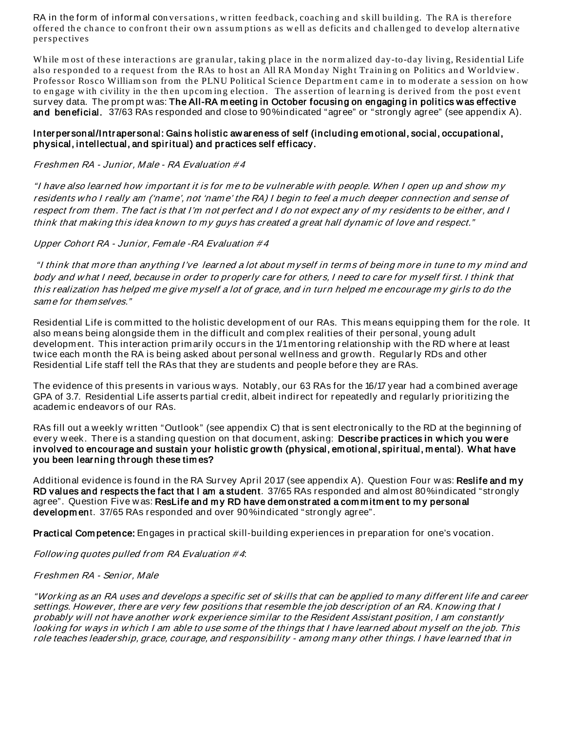RA in the form of informal conversations, written feedback, coaching and skill building. The RA is therefore offered the chance to confront their own assumptions as well as deficits and challenged to develop alternative perspectives

While most of these interactions are granular, taking place in the normalized day-to-day living, Residential Life also responded to a request from the RAs to host an All RA Monday Night Training on Politics and Worldview. Professor Rosco William son from the PLNU Political Science Department came in to moderate a session on how to engage with civility in the then upcoming election. The assertion of learning is derived from the post event survey data. The prompt was: The All-RA meeting in October focusing on engaging in politics was effective and beneficial. 37/63 RAs responded and close to 90% indicated "agree" or "strongly agree" (see appendix A).

#### Inter per sonal/Intr aper sonal: Gains holistic aw ar eness of self (including em otional, social, occupational, physical, intellectual, and spir itual) and practices self efficacy.

#### Freshmen RA - Junior, Male - RA Evaluation # 4

"I have also learned how important it is for me to be vulnerable with people. When I open up and show my residents w ho I really am ('nam <sup>e</sup>', not 'nam <sup>e</sup>' the RA) I begin to feel a much deeper connection and sense of respect from them. The fact is that I'm not perfect and I do not expect any of my residents to be either, and I think that making this idea known to my guys has created a great hall dynamic of love and respect."

#### Upper Cohort RA - Junior, Fem ale -RA Evaluation # 4

"I think that m ore than anything I've learned a lot about myself in term s of being m ore in tune to m y m ind and body and w hat I need, because in order to properly care for others, I need to care for m yself first. I think that this realization has helped m e give myself a lot of grace, and in turn helped m e encourage m y girls to do the same for them selves."

Residential Life is committed to the holistic development of our RAs. This means equipping them for the role. It also m eans being alongside them in the difficult and com plex realities of their personal, young adult developm ent. This interaction prim arily occurs in the 1/1 m entoring relationship w ith the RD w here at least tw ice each m onth the RA is being asked about personal w ellness and grow th. Regularly RDs and other Residential Life staff tell the RAs that they are students and people before they are RAs.

The evidence of this presents in various w ays. Notably, our 63 RAs for the 16/17 year had a com bined average GPA of 3.7. Residential Life asserts partial credit, albeit indirect for repeatedly and regularly prioritizing the academ ic endeavors of our RAs.

RAs fill out a w eekly w ritten "Outlook" (see appendix C) that is sent electronically to the RD at the beginning of every week. There is a standing question on that document, asking: Describe practices in which you were involved to encourage and sustain your holistic growth (physical, emotional, spiritual, mental). What have you been lear ning thr ough these tim es?

Additional evidence is found in the RA Survey April 2017 (see appendix A). Question Four was: Reslife and my RD values and r espects the fact that I am a student. 37/65 RAs responded and alm ost 80% indicated "strongly agree". Question Five was: ResLife and my RD have demonstrated a commitment to my personal development. 37/65 RAs responded and over 90% indicated "strongly agree".

Practical Competence: Engages in practical skill-building experiences in preparation for one's vocation.

Follow ing quotes pulled from RA Evaluation  $#4$ :

### Freshmen RA - Senior, Male

"Working as an RA uses and develops a specific set of skills that can be applied to m any different life and career settings. How ever, there are very few positions that resem ble the job description of an RA. Know ing that I probably w ill not have another w ork experience sim ilar to the Resident Assistant position, I am constantly looking for w ays in w hich I am able to use some of the things that I have learned about m yself on the job. This role teaches leadership, grace, courage, and responsibility - am ong many other things. I have learned that in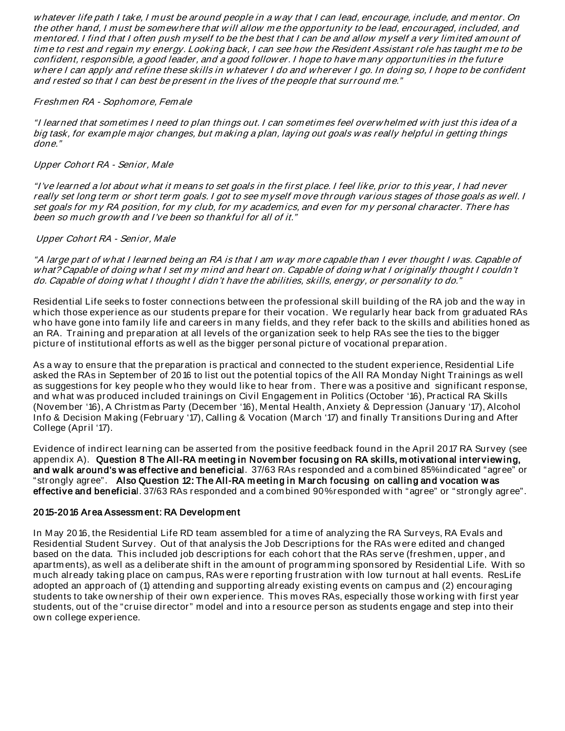<sup>w</sup> hatever life path I take, I m ust be around people in a w ay that I can lead, encourage, include, and m entor. On the other hand, I m ust be som ew here that w ill allow <sup>m</sup> e the opportunity to be lead, encouraged, included, and <sup>m</sup> entored. I find that I often push myself to be the best that I can be and allow <sup>m</sup> yself a very lim ited am ount of time to rest and regain my energy. Looking back, I can see how the Resident Assistant role has taught me to be confident, responsible, a good leader, and a good follow er. I hope to have many opportunities in the future <sup>w</sup> here I can apply and refine these skills in w hatever I do and w herever I go. In doing so, I hope to be confident and rested so that I can best be present in the lives of the people that surround me."

#### Freshmen RA - Sophomore, Fem ale

"I learned that som etim es I need to plan things out. I can som etim es feel overw helm ed w ith just this idea of a big task, for exam ple m ajor changes, but m aking a plan, laying out goals w as really helpful in getting things done."

#### Upper Cohort RA - Senior, Male

"I've learned a lot about w hat it means to set goals in the first place. I feel like, prior to this year, I had never really set long term or short term goals. I got to see myself move through various stages of those goals as w ell. I set goals for my RA position, for my club, for my academics, and even for my personal character. There has been so much grow th and I've been so thankful for all of it."

#### Upper Cohort RA - Senior, Male

"A large part of w hat I learned being an RA is that I am <sup>w</sup> ay more capable than I ever thought I w as. Capable of <sup>w</sup> hat? Capable of doing w hat I set my m ind and heart on. Capable of doing w hat I originally thought I couldn't do. Capable of doing w hat I thought I didn't have the abilities, skills, energy, or personality to do."

Residential Life seeks to foster connections betw een the professional skill building of the RA job and the w ay in w hich those experience as our students prepare for their vocation. We regularly hear back from graduated RAs who have gone into family life and careers in many fields, and they refer back to the skills and abilities honed as an RA. Training and preparation at all levels of the organization seek to help RAs see the ties to the bigger picture of institutional efforts as w ell as the bigger personal picture of vocational preparation.

As a way to ensure that the preparation is practical and connected to the student experience, Residential Life asked the RAs in Septem ber of 2016 to list out the potential topics of the All RA Monday Night Trainings as w ell as suggestions for key people w ho they w ould like to hear from . There w as a positive and significant response, and w hat w as produced included trainings on Civil Engagem ent in Politics (October '16), Practical RA Skills (Novem ber '16), A Christm as Party (Decem ber '16), Mental Health, Anxiety & Depression (January '17), Alcohol Info & Decision Making (February '17), Calling & Vocation (March '17) and finally Transitions During and After College (April '17).

Evidence of indirect learning can be asserted from the positive feedback found in the April 2017 RA Survey (see appendix A). Question 8 The All-RA m eeting in Novem ber focusing on RA skills, m otivational interview ing, and w alk around's w as effective and beneficial. 37/63 RAs responded and a com bined 85% indicated "agree" or "strongly agree". Also Question 12: The All-RA m eeting in M ar ch focusing on calling and vocation w as effective and beneficial. 37/63 RAs responded and a combined 90% responded with "agree" or "strongly agree".

#### 2015-2016 Ar ea Assessm ent: RA Developm ent

In May 2016, the Residential Life RD team assem bled for a time of analyzing the RA Surveys, RA Evals and Residential Student Survey. Out of that analysis the Job Descriptions for the RAs w ere edited and changed based on the data. This included job descriptions for each cohort that the RAs serve (freshmen, upper, and apartments), as w ell as a deliberate shift in the am ount of programm ing sponsored by Residential Life. With so m uch already taking place on cam pus, RAs w ere reporting frustration w ith low turnout at hall events. ResLife adopted an approach of (1) attending and supporting already existing events on cam pus and (2) encouraging students to take ow nership of their own experience. This moves RAs, especially those working with first year students, out of the "cruise director" m odel and into a resource person as students engage and step into their ow n college experience.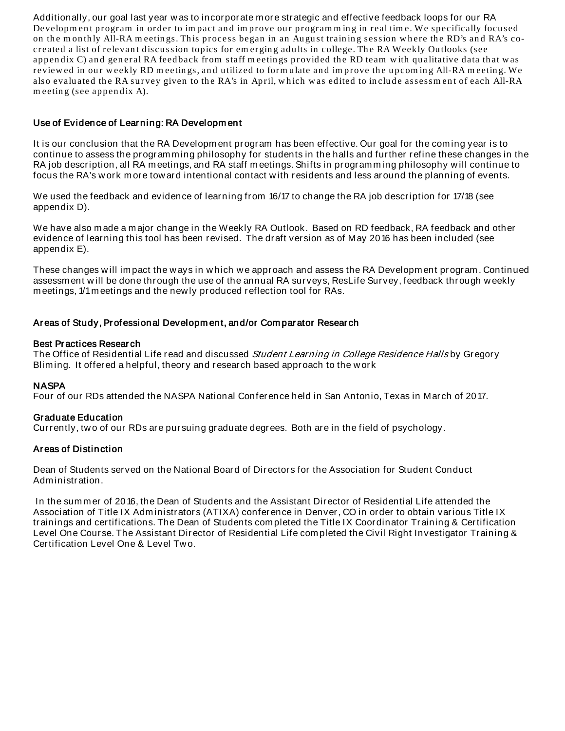Additionally, our goal last year w as to incorporate m ore strategic and effective feedback loops for our RA Developm ent program in order to impact and improve our programming in real time. We specifically focused on the monthly All-RA meetings. This process began in an August training session where the RD's and RA's cocreated a list of relevant discussion topics for emerging adults in college. The RA Weekly Outlooks (see appendix C) and general RA feedback from staff meetings provided the RD team with qualitative data that was reviewed in our weekly RD meetings, and utilized to formulate and improve the upcoming All-RA meeting. We also evaluated the RA survey given to the RA's in April, which was edited to include assessment of each All-RA m eetin g (see appen dix A).

# Use of Evidence of Learning: RA Developm ent

It is our conclusion that the RA Developm ent program has been effective. Our goal for the com ing year is to continue to assess the programm ing philosophy for students in the halls and further refine these changes in the RA job description, all RA meetings, and RA staff meetings. Shifts in programming philosophy will continue to focus the RA's w ork m ore tow ard intentional contact w ith residents and less around the planning of events.

We used the feedback and evidence of learning from 16/17 to change the RA job description for 17/18 (see appendix D).

We have also m ade a major change in the Weekly RA Outlook. Based on RD feedback, RA feedback and other evidence of learning this tool has been revised. The draft version as of May 2016 has been included (see appendix E).

These changes w ill im pact the w ays in w hich w e approach and assess the RA Developm ent program . Continued assessm ent w ill be done through the use of the annual RA surveys, ResLife Survey, feedback through w eekly m eetings, 1/1 m eetings and the new ly produced reflection tool for RAs.

# Ar eas of Study, Pr ofessional Developm ent, and/or Com parator Resear ch

#### Best Pr actices Resear ch

The Office of Residential Life read and discussed Student Learning in College Residence Halls by Gregory Blim ing. It offered a helpful, theory and research based approach to the w ork

### **NASPA**

Four of our RDs attended the NASPA National Conference held in San Antonio, Texas in March of 2017.

### Gr aduate Education

Currently, tw o of our RDs are pursuing graduate degrees. Both are in the field of psychology.

### Ar eas of Distinction

Dean of Students served on the National Board of Directors for the Association for Student Conduct Adm inistration.

In the summer of 2016, the Dean of Students and the Assistant Director of Residential Life attended the Association of Title IX Administrators (ATIXA) conference in Denver, CO in order to obtain various Title IX trainings and certifications. The Dean of Students com pleted the Title IX Coordinator Training & Certification Level One Course. The Assistant Director of Residential Life com pleted the Civil Right Investigator Training & Certification Level One & Level Tw o.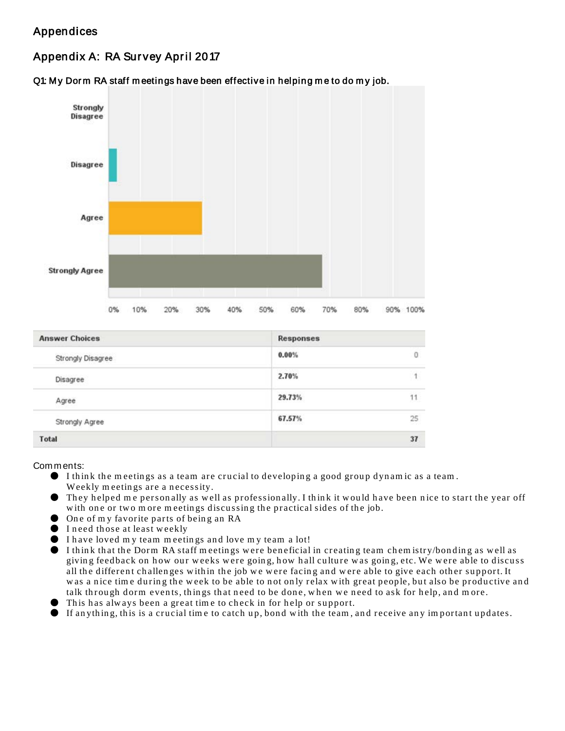# Appendices

# Appendix A: RA Survey April 2017



Q1: My Dorm RA staff meetings have been effective in helping me to do my job.

| <b>Answer Choices</b> | <b>Responses</b> |         |
|-----------------------|------------------|---------|
| Strongly Disagree     | 0.00%            | $\circ$ |
| Disagree              | 2.70%            | 1       |
| Agree                 | 29.73%           | 11      |
| Strongly Agree        | 67.57%           | 25      |
| Total                 |                  | 37      |

- I think the meetings as a team are crucial to developing a good group dynamic as a team. Weekly meetings are a necessity.
- They helped me personally as well as professionally. I think it would have been nice to start the year off with one or two more meetings discussing the practical sides of the job.
- One of my favorite parts of being an RA
- I need those at least weekly
- I have loved m y team m eetin gs and love m y team a lot!
- $\bullet$  I think that the Dorm RA staff meetings were beneficial in creating team chemistry/bonding as well as giving feedback on how our weeks were going, how hall culture was going, etc. We were able to discuss all the different challenges within the job we were facing and were able to give each other support. It was a nice time during the week to be able to not only relax with great people, but also be productive and talk through dorm events, things that need to be done, when we need to ask for help, and more.
- This has always been a great time to check in for help or support.
- $\bullet$  If anything, this is a crucial time to catch up, bond with the team, and receive any important updates.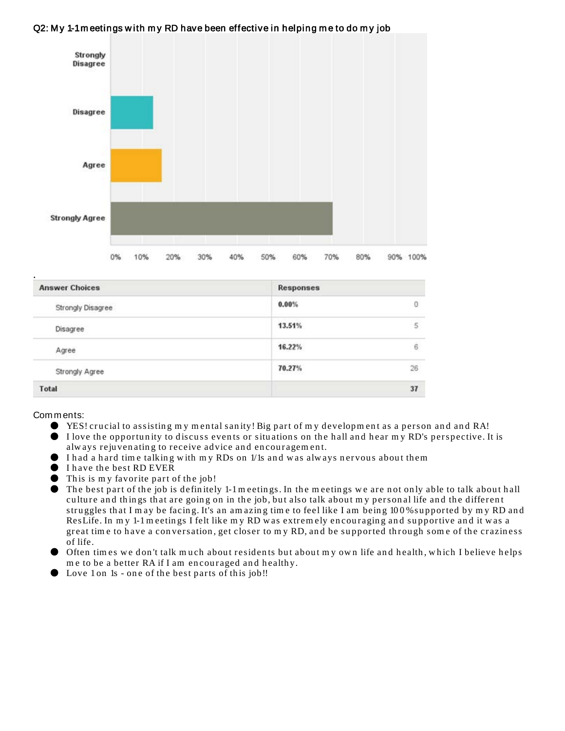

# Q2: My 1-1 meetings with my RD have been effective in helping me to do my job

| <b>Answer Choices</b> | Responses |         |
|-----------------------|-----------|---------|
| Strongly Disagree     | 0.00%     | 0       |
| Disagree              | 13.51%    | 5       |
| Agree                 | 16.22%    | $\rm 6$ |
| Strongly Agree        | 70.27%    | 26      |
| <b>Total</b>          |           | 37      |

- YES! cru cial to assistin g m y m en tal san ity! Big part of m y developm en t as a person an d an d RA!
- I love the opportunity to discuss events or situations on the hall and hear my RD's perspective. It is always rejuven ating to receive advice and encouragement.
- I had a hard time talking with my RDs on 1/1s and was always nervous about them
- I have the best RD EVER
- $\bullet$  This is my favorite part of the job!
- $\bullet$  The best part of the job is definitely 1-1 meetings. In the meetings we are not only able to talk about hall culture and things that are going on in the job, but also talk about my personal life and the different stru ggles th at I m ay be facin g. It's an am azin g tim e to feel like I am bein g 10 0 % su pported by m y RD an d ResLife. In m y 1-1 m eetin gs I felt like m y RD w as extrem ely en couraging an d supportive an d it was a great time to have a conversation, get closer to my RD, and be supported through some of the craziness of life.
- Often times we don't talk much about residents but about my own life and health, which I believe helps me to be a better RA if I am encouraged and healthy.
- I Love 1 on 1s one of the best parts of this job!!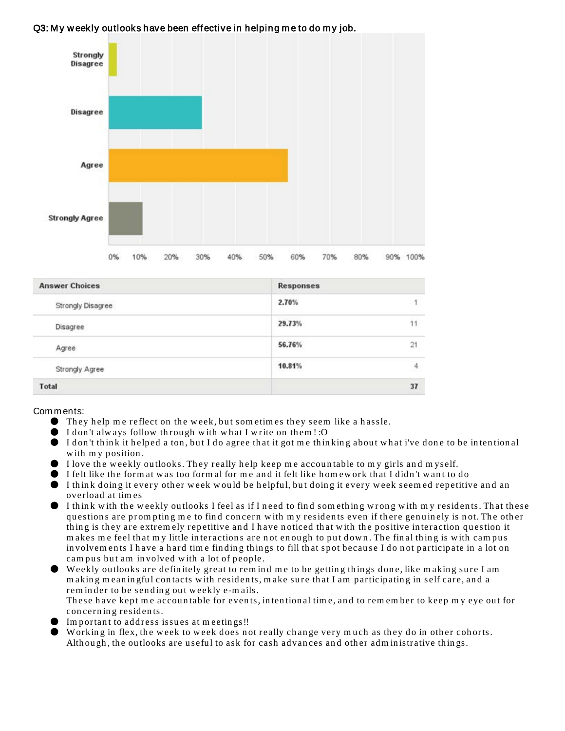# Q3: My weekly outlooks have been effective in helping me to do my job.



| <b>Answer Choices</b> | <b>Responses</b> |                 |
|-----------------------|------------------|-----------------|
| Strongly Disagree     | 2.70%            |                 |
| Disagree              | 29.73%           | 11              |
| Agree                 | 56.76%           | $\overline{21}$ |
| Strongly Agree        | 10.81%           | 4               |
| Total                 |                  | 37              |

- **•** They help me reflect on the week, but sometimes they seem like a hassle.
- I don 't alw ays follow th rou gh w ith w h at I w rite on th em ! :O
- I don't think it helped a ton, but I do agree that it got me thinking about what i've done to be intentional with my position.
- I love the weekly outlooks. They really help keep me accountable to my girls and myself.
- I felt like the form at w as too form al for m e an d it felt like hom ew ork that I didn 't w an t to do
- I think doing it every other week would be helpful, but doing it every week seemed repetitive and an overload at tim es
- I think with the weekly outlooks I feel as if I need to find something wrong with my residents. That these questions are prompting me to find concern with my residents even if there genuinely is not. The other thing is they are extremely repetitive and I have noticed that with the positive interaction question it m akes me feel that my little interactions are not enough to put down. The final thing is with campus in volvements I have a hard time finding things to fill that spot because I do not participate in a lot on cam pus but am involved with a lot of people.
- Weekly outlooks are definitely great to rem ind me to be getting things done, like making sure I am m aking meaningful contacts with residents, make sure that I am participating in self care, and a rem in der to be sen din g out weekly e-m ails. These have kept me accountable for events, intentional time, and to remember to keep my eye out for
- concerning residents.
- Im portant to address issues at meetings!!
- Working in flex, the week to week does not really change very much as they do in other cohorts. Although, the outlooks are useful to ask for cash advances and other administrative things.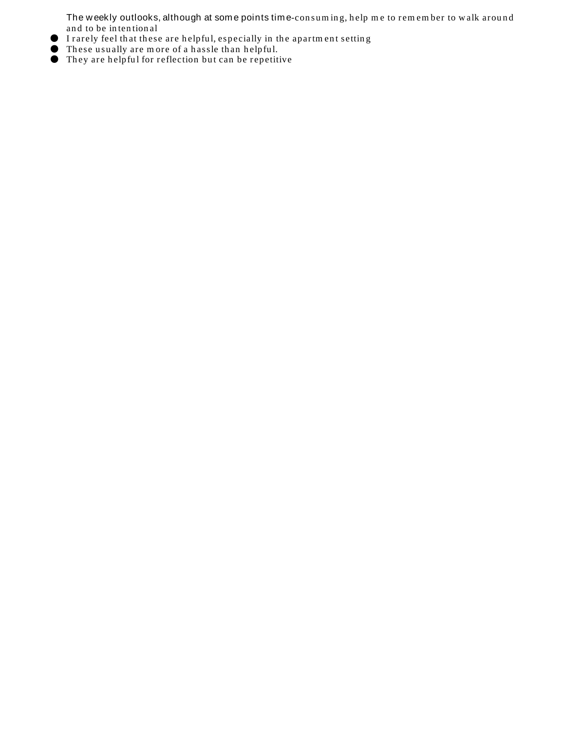The weekly outlooks, although at some points time-consuming, help me to remember to walk around and to be intentional

- **O** I rarely feel that these are helpful, especially in the apartm ent setting
- Th ese u su ally are m ore of a h assle th an h elpfu l.
- Th ey are h elpful for reflection but can be repetitive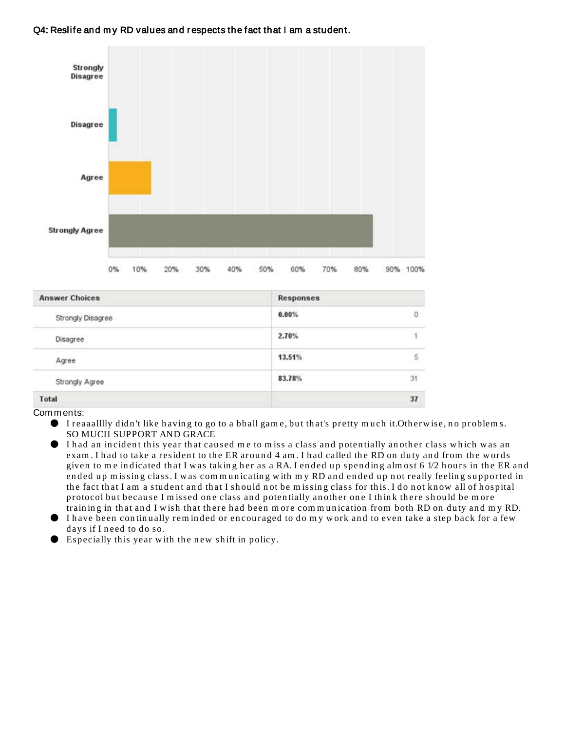# Q4: Reslife and my RD values and respects the fact that I am a student.



| <b>Answer Choices</b> | <b>Responses</b> |                |
|-----------------------|------------------|----------------|
| Strongly Disagree     | 0.00%            | 0              |
| Disagree              | 2.70%            |                |
| Agree                 | 13.51%           | $\overline{5}$ |
| Strongly Agree        | 83.78%           | 31             |
| Total                 |                  | 37             |
| Comments:             |                  |                |

- I reaaalllly didn 't like h avin g to go to a bball gam e, bu t th at's pretty m u ch it.Oth erw ise, n o problem s. SO MUCH SUPPORT AND GRACE
- I had an in ciden t this year that caused m e to m iss a class and poten tially an other class w hich w as an exam. I had to take a resident to the ER around 4 am. I had called the RD on duty and from the words given to me indicated that I was taking her as a RA. I ended up spending almost 6 1/2 hours in the ER and ended up missing class. I was communicating with my RD and ended up not really feeling supported in the fact that I am a student and that I should not be missing class for this. I do not know all of hospital protocol but because I m issed one class and potentially another one I think there should be more training in that and I wish that there had been more communication from both RD on duty and my RD.
- I have been continually rem inded or encouraged to do my work and to even take a step back for a few days if I need to do so.
- Especially this year with the n ew shift in policy.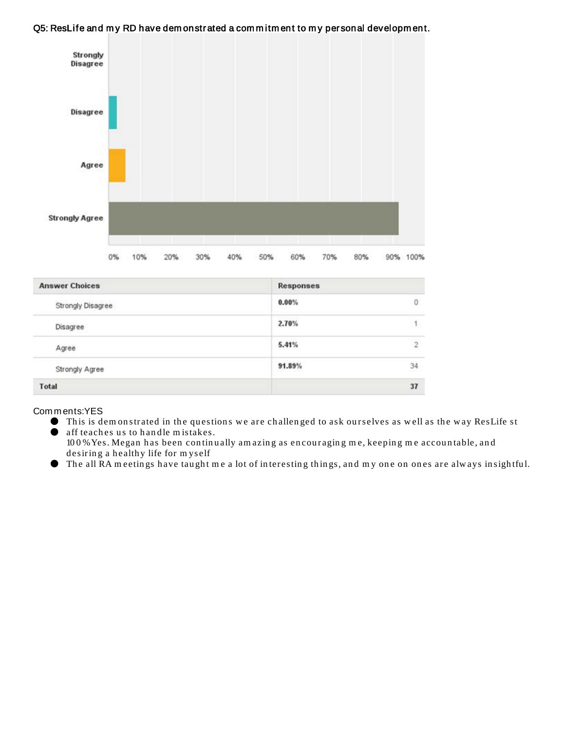### Q5: ResLife and my RD have demonstrated a commitment to my personal development.



| <b>Answer Choices</b> | <b>Responses</b> |            |
|-----------------------|------------------|------------|
| Strongly Disagree     | 0.00%            | $\circ$    |
| Disagree              | 2.70%            |            |
| Agree                 | 5.41%            | $\sqrt{2}$ |
| Strongly Agree        | 91.89%           | 34         |
| <b>Total</b>          |                  | 37         |

### Com m ents:YES

- In is is demonstrated in the questions we are challenged to ask ourselves as well as the way ResLife st  $\bullet$  aff teaches us to handle mistakes.
	- 10 0 % Yes. Megan h as been con tin u ally am azin g as en cou ragin g m e, keepin g m e accou n table, an d desirin g a healthy life for m yself
- Ine all RA meetings have taught me a lot of interesting things, and my one on ones are always insightful.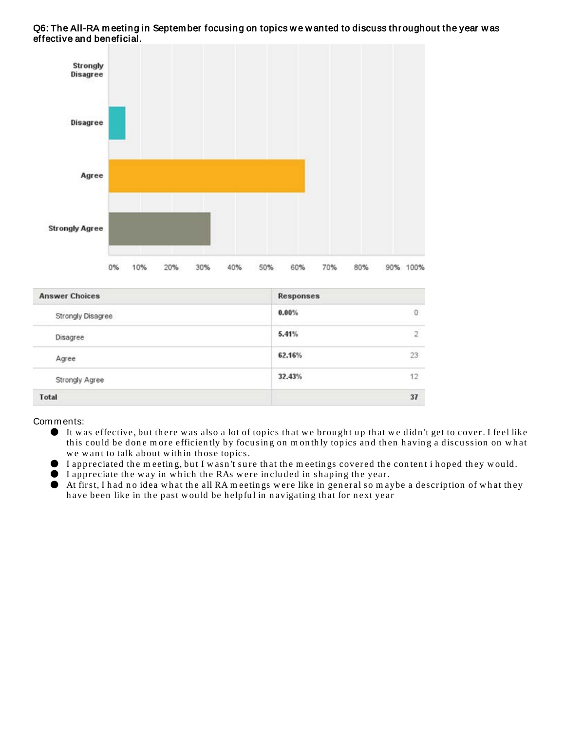

#### Q6: The All-RA meeting in September focusing on topics we wanted to discuss throughout the year was effective and beneficial.

| <b>Answer Choices</b> | <b>Responses</b> |                |
|-----------------------|------------------|----------------|
| Strongly Disagree     | 0.00%            | 0              |
| Disagree              | 5.41%            | $\overline{2}$ |
| Agree                 | 62.16%           | 23             |
| Strongly Agree        | 32.43%           | 12             |
| Total                 |                  | 37             |

- It was effective, but there was also a lot of topics that we brought up that we didn't get to cover. I feel like this could be done more efficiently by focusing on monthly topics and then having a discussion on what we want to talk about within those topics.
- **O** I appreciated the meeting, but I wasn't sure that the meetings covered the content i hoped they would.
- $\bullet$  I appreciate the way in which the RAs were included in shaping the year.
- At first, I had no idea what the all RA meetings were like in general so maybe a description of what they have been like in the past would be helpful in navigating that for next year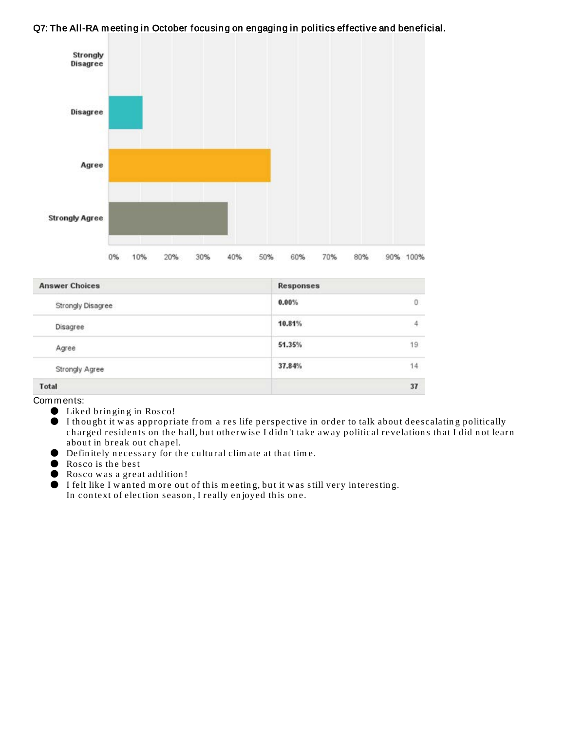# Q7: The All-RA m eeting in October focusing on engaging in politics effective and beneficial.



| <b>Answer Choices</b> | <b>Responses</b> |    |
|-----------------------|------------------|----|
| Strongly Disagree     | 0.00%            | 0  |
| Disagree              | 10.81%           | 4  |
| Agree                 | 51.35%           | 19 |
| Strongly Agree        | 37.84%           | 14 |
| Total                 |                  | 37 |

Comments:

- Liked brin gin g in Rosco!
- I th ough t it w as appropriate from a res life perspective in order to talk about deescalatin g politically charged residents on the hall, but otherwise I didn't take away political revelations that I did not learn about in break out chapel.
- Defin itely n ecessary for the cultural clim ate at that tim e.
- Rosco is the best
- Rosco was a great addition!
- I felt like I wanted more out of this meeting, but it was still very interesting. In context of election season, I really enjoyed this one.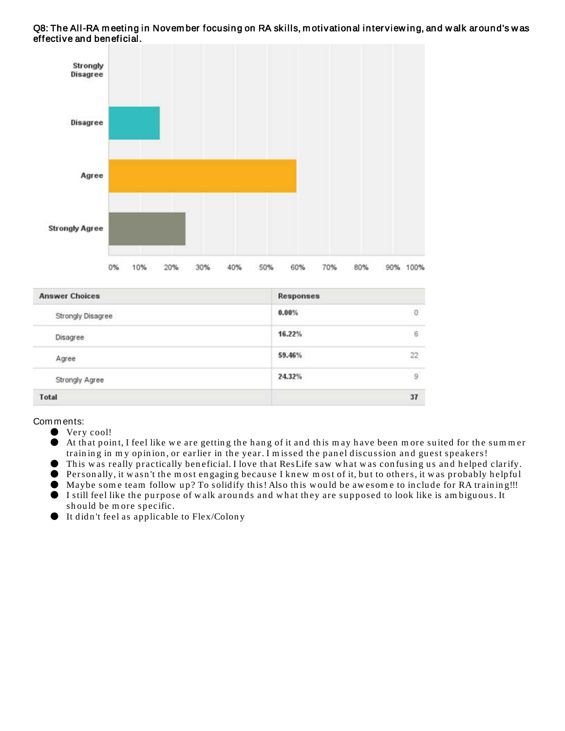

### Q8: The All-RA m eeting in Novem ber focusing on RA skills, m otivational inter view ing, and w alk ar ound's w as effective and beneficial.

| <b>Answer Choices</b> | <b>Responses</b> |         |
|-----------------------|------------------|---------|
| Strongly Disagree     | 0.00%            | $\circ$ |
| Disagree              | 16.22%           | 6       |
| Agree                 | 59.46%           | 22      |
| Strongly Agree        | 24.32%           | 9       |
| Total                 |                  | 37      |

- Very cool!
- $\bullet$  At that point, I feel like we are getting the hang of it and this may have been more suited for the summer training in my opinion, or earlier in the year. I missed the panel discussion and guest speakers!
- This was really practically beneficial. I love that ResLife saw what was confusing us and helped clarify.
- Person ally, it wasn't the m ost engaging because I knew most of it, but to others, it was probably helpful
- Maybe some team follow up? To solidify this! Also this would be awesome to include for RA training!!!
- I still feel like the purpose of walk arounds and what they are supposed to look like is ambiguous. It sh ould be m ore specific.
- It didn 't feel as applicable to Flex/Colon y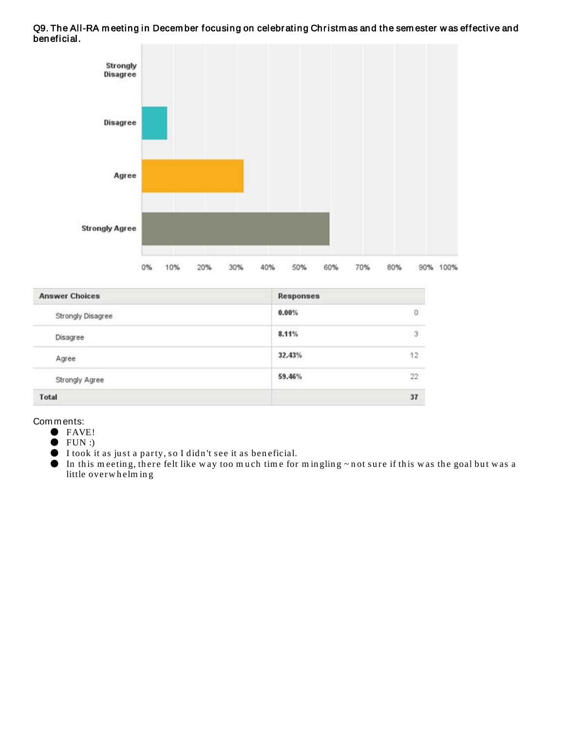#### Q9. The All-RA m eeting in Decem ber focusing on celebrating Chr istm as and the sem ester w as effective and beneficial.



| <b>Answer Choices</b> | <b>Responses</b> |                         |
|-----------------------|------------------|-------------------------|
| Strongly Disagree     | 0.00%            | 0                       |
| Disagree              | 8.11%            | $\overline{\mathbf{3}}$ |
| Agree                 | 32.43%           | 12                      |
| Strongly Agree        | 59.46%           | 22<br><b>SALE</b>       |
| Total                 |                  | 37                      |

- FAVE!
- $\bullet$  FUN :)
- I took it as ju st a party, so I didn 't see it as ben eficial.
- $\bullet$  In this meeting, there felt like way too much time for mingling ~not sure if this was the goal but was a little overwhelm in g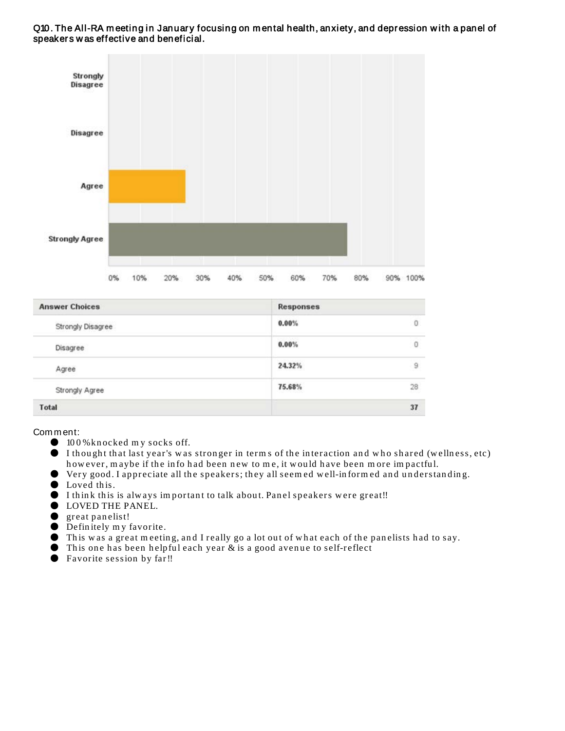

Q10. The All-RA m eeting in Januar y focusing on m ental health, anxiety, and depression w ith a panel of speaker s w as effective and beneficial.

> 0% 10% 20% 30% 40% 50% 60% 70% 80% 90% 100%

| <b>Answer Choices</b> | <b>Responses</b> |                |
|-----------------------|------------------|----------------|
| Strongly Disagree     | 0.00%            | 0              |
| Disagree              | 0.00%            | 0              |
| Agree                 | 24.32%           | $\overline{9}$ |
| Strongly Agree        | 75.68%           | 28             |
| Total                 |                  | 37             |

- $\bigcirc$  100% knocked my socks off.
- $\bullet$  I thought that last year's was stronger in terms of the interaction and who shared (wellness, etc) however, maybe if the info had been new to me, it would have been more impactful.
- Very good. I appreciate all the speakers; they all seemed well-informed and understanding.
- Loved this.
- I think this is always important to talk about. Panel speakers were great!!
- **O** LOVED THE PANEL.
- great panelist!
- Defin itely m y favorite.
- It is was a great meeting, and I really go a lot out of what each of the panelists had to say.
- $\bullet$  This one has been helpful each year  $\&$  is a good avenue to self-reflect
- Favorite session by far!!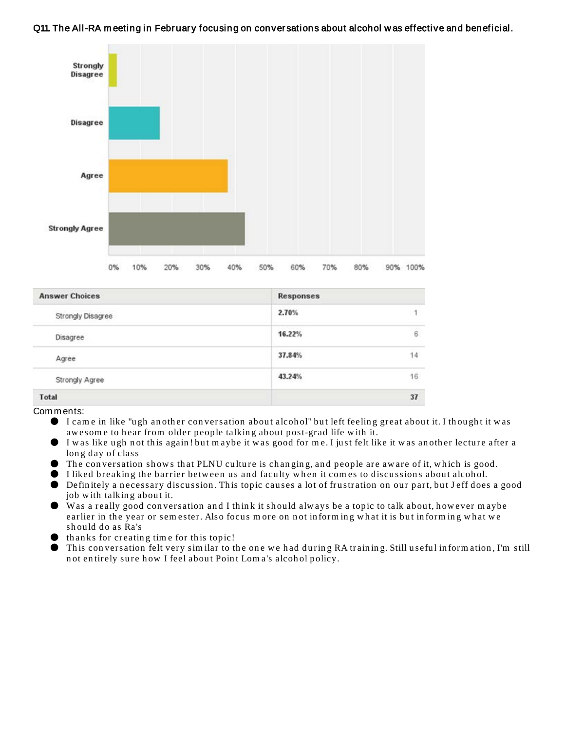### Q11. The All-RA meeting in February focusing on conversations about alcohol was effective and beneficial.



| <b>Answer Choices</b> | <b>Responses</b> |              |
|-----------------------|------------------|--------------|
| Strongly Disagree     | 2.70%            |              |
| Disagree              | 16.22%           | $\mathsf{6}$ |
| Agree                 | 37.84%           | 14           |
| Strongly Agree        | 43.24%           | 16           |
| Total                 |                  | 37           |

- I came in like "ugh another conversation about alcohol" but left feeling great about it. I thought it was awesome to hear from older people talking about post-grad life with it.
- I was like ugh not this again! but maybe it was good for me. I just felt like it was another lecture after a lon g day of class
- The conversation shows that PLNU culture is changing, and people are aware of it, which is good.
- I liked breaking the barrier between us and faculty when it comes to discussions about alcohol.
- Definitely a necessary discussion. This topic causes a lot of frustration on our part, but J eff does a good job with talking about it.
- Was a really good conversation and I think it should always be a topic to talk about, however maybe earlier in the year or semester. Also focus more on not informing what it is but informing what we sh ould do as Ra's
- thanks for creatin g tim e for this topic!
- This conversation felt very similar to the one we had during RA training. Still useful information, I'm still not entirely sure how I feel about Point Loma's alcohol policy.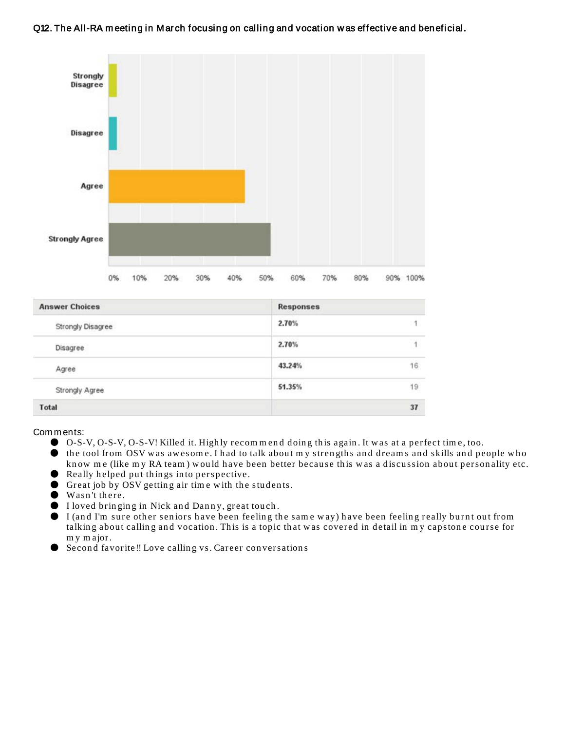# Q12. The All-RA meeting in March focusing on calling and vocation was effective and beneficial.



| <b>Answer Choices</b> | <b>Responses</b> |     |
|-----------------------|------------------|-----|
| Strongly Disagree     | 2.70%            |     |
| Disagree              | 2.70%            | 1.1 |
| Agree                 | 43.24%           | 16  |
| Strongly Agree        | 51.35%           | 19  |
| Total                 |                  | 37  |

- O-S-V, O-S-V, O-S-V! Killed it. High ly recom m en d doin g th is again . It w as at a perfect tim e, too.
- the tool from OSV was awesome. I had to talk about my strengths and dreams and skills and people who know me (like my RA team) would have been better because this was a discussion about personality etc.
- Really helped put things in to perspective.
- **O** Great job by OSV getting air time with the students.
- Wasn't there.
- I loved brin gin g in Nick an d Dan n y, great tou ch .
- I (and I'm sure other seniors have been feeling the same way) have been feeling really burnt out from talking about calling and vocation. This is a topic that was covered in detail in my capstone course for m y m ajor.
- Second favorite!! Love calling vs. Career conversations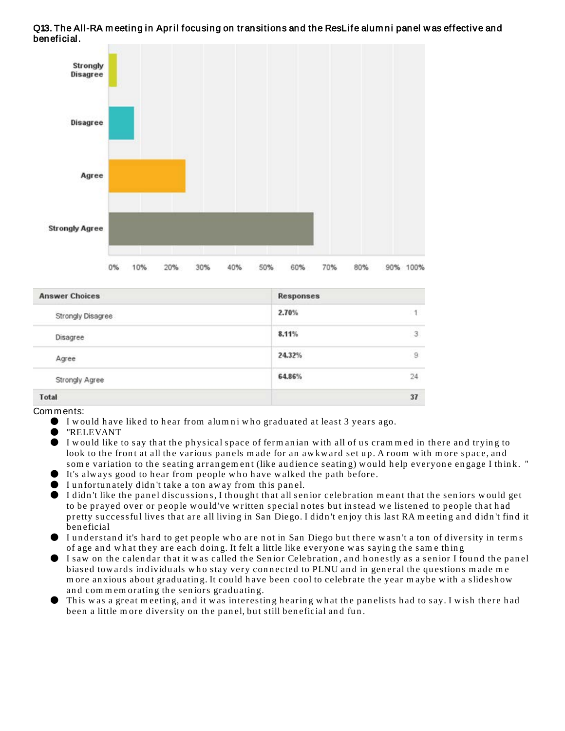

# Q13. The All-RA meeting in April focusing on transitions and the ResLife alumni panel was effective and beneficial.

| <b>Answer Choices</b> | <b>Responses</b> |    |
|-----------------------|------------------|----|
| Strongly Disagree     | 2.70%            |    |
| Disagree              | 8.11%            | 3  |
| Agree                 | 24.32%           | 9  |
| Strongly Agree        | 64.86%           | 24 |
| Total                 |                  | 37 |

- $\bullet$  I would have liked to hear from alumni who graduated at least 3 years ago.
- "RELEVANT
- I would like to say that the physical space of ferm an ian w ith all of us cram m ed in there an d trying to look to the front at all the various panels made for an aw kward set up. A room with more space, and some variation to the seating arrangement (like audience seating) would help everyone engage I think. "
- It's alw ays good to hear from people w ho have w alked the path before.
- $\bullet$  I unfortunately didn't take a ton away from this panel.
- I didn 't like th e pan el discu ssion s, I th ou gh t th at all sen ior celebration m ean t that the sen iors would get to be prayed over or people would've written special n otes but in stead we listen ed to people that had pretty su ccessfu l lives th at are all livin g in San Diego. I didn 't en joy th is last RA m eetin g an d didn 't fin d it ben eficial
- I understand it's hard to get people who are not in San Diego but there wasn't a ton of diversity in terms of age and what they are each doing. It felt a little like everyone was saying the same thing
- I saw on the calendar that it was called the Senior Celebration, and honestly as a senior I found the panel biased tow ards individuals who stay very connected to PLNU and in general the questions made me m ore anxious about graduating. It could have been cool to celebrate the year maybe with a slideshow and com m em orating the seniors graduating.
- This was a great meeting, and it was interesting hearing what the panelists had to say. I wish there had been a little more diversity on the panel, but still beneficial and fun.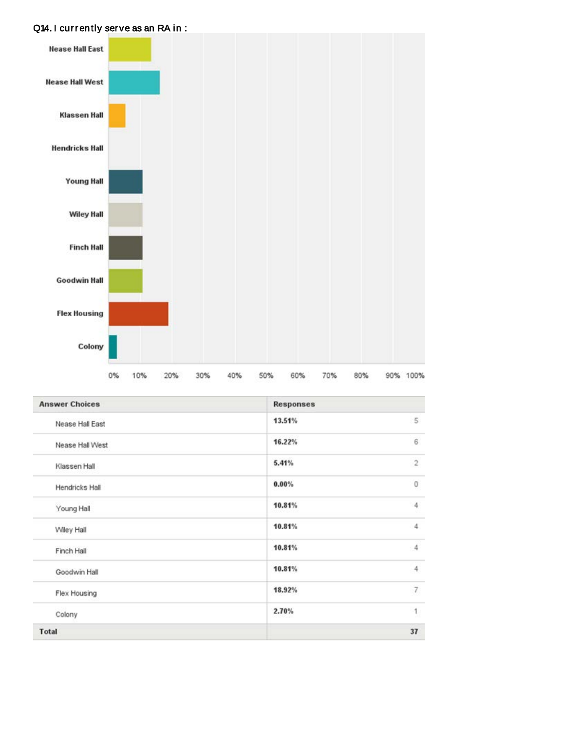# Q14. I currently serve as an RA in :



| <b>Answer Choices</b> | Responses |                |
|-----------------------|-----------|----------------|
| Nease Hall East       | 13.51%    | 5              |
| Nease Hall West       | 16.22%    | 6              |
| Klassen Hall          | 5.41%     | $\,2$          |
| Hendricks Hall        | 0.00%     | $\bf 0$        |
| Young Hall            | 10.81%    | 4              |
| Wiley Hall            | 10.81%    | 4.             |
| Finch Hall            | 10.81%    | 4              |
| Goodwin Hall          | 10.81%    | $\frac{4}{3}$  |
| Flex Housing          | 18.92%    | $\overline{7}$ |
| Colony                | 2.70%     | $\mathbf{1}$   |
| Total                 |           | 37             |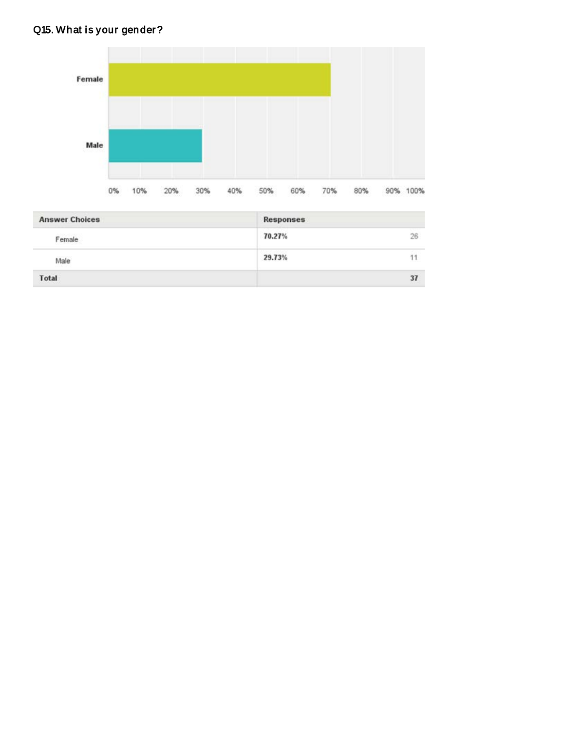# Q15. What is your gender ?



| <b>Answer Choices</b> | Responses |    |
|-----------------------|-----------|----|
| Female                | 70.27%    | 26 |
| Male                  | 29.73%    | 11 |
| <b>Total</b>          |           | 37 |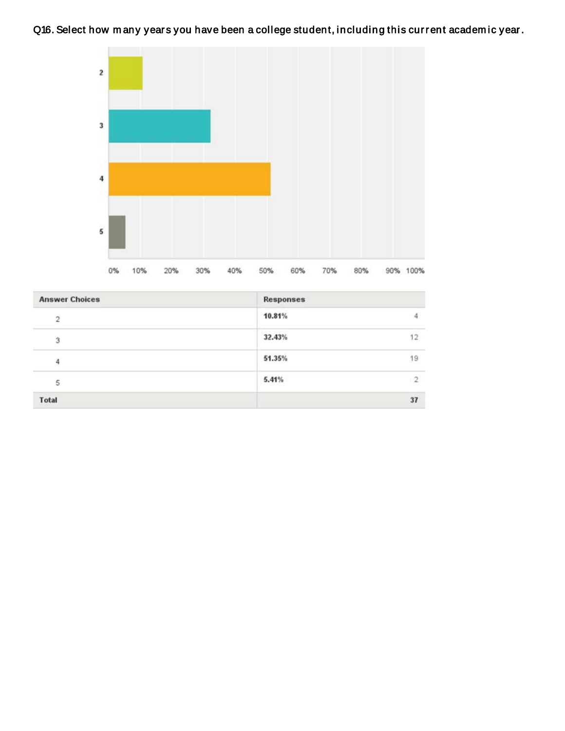# Q16. Select how many years you have been a college student, including this current academic year.



| <b>Answer Choices</b> | Responses |    |
|-----------------------|-----------|----|
| $\overline{2}$        | 10.81%    |    |
| 3                     | 32.43%    | 12 |
| 4                     | 51.35%    | 19 |
| 5                     | 5.41%     | 2  |
| Total                 |           | 37 |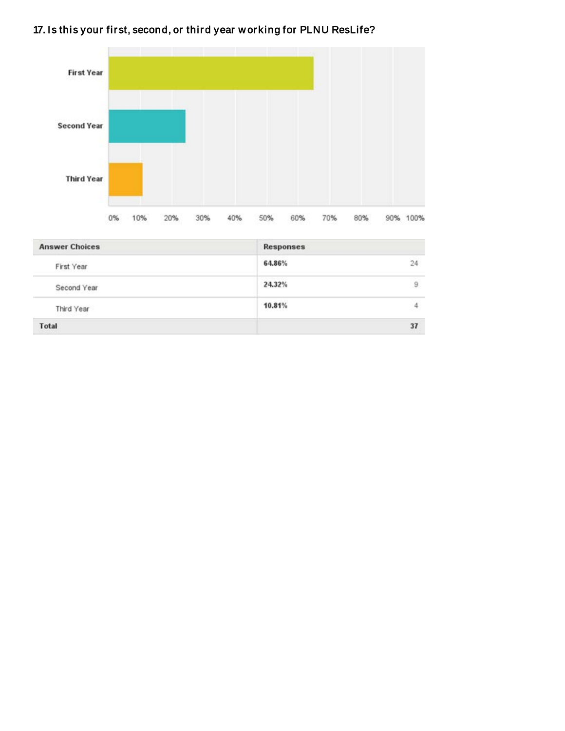# 17. Is this your first, second, or third year working for PLNU ResLife?



| <b>Answer Choices</b> | Responses |    |
|-----------------------|-----------|----|
| First Year            | 64,86%    | 24 |
| Second Year           | 24.32%    | 9  |
| Third Year            | 10.81%    | 4  |
| <b>Total</b>          |           | 37 |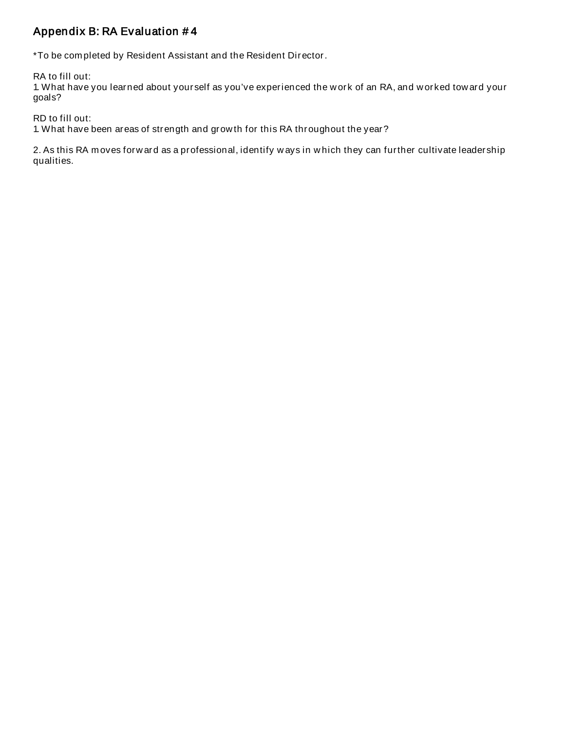# Appendix B: RA Evaluation # 4

\*To be com pleted by Resident Assistant and the Resident Director.

RA to fill out:

1. What have you learned about yourself as you've experienced the w ork of an RA, and w orked tow ard your goals?

RD to fill out:

1. What have been areas of strength and grow th for this RA throughout the year?

2. As this RA m oves forw ard as a professional, identify w ays in w hich they can further cultivate leadership qualities.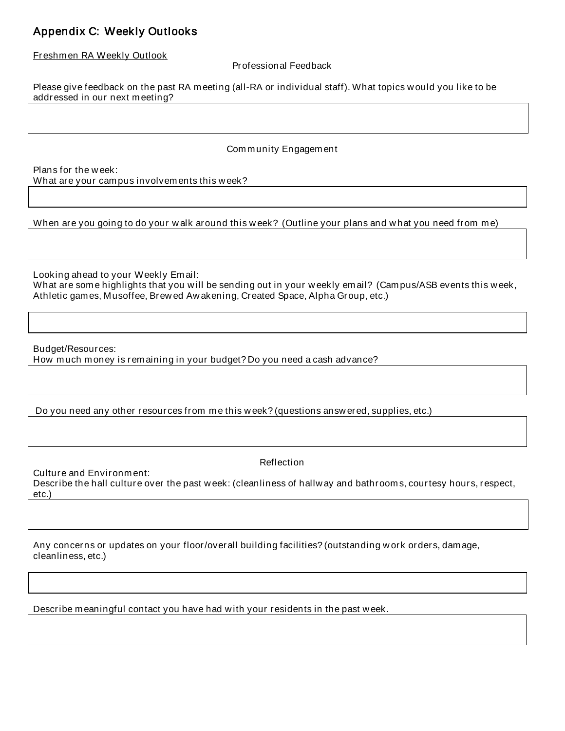# Appendix C: Weekly Outlooks

Freshmen RA Weekly Outlook

#### Professional Feedback

Please give feedback on the past RA m eeting (all-RA or individual staff). What topics w ould you like to be addressed in our next m eeting?

### Com munity Engagement

Plans for the w eek: What are your cam pus involvem ents this w eek?

When are you going to do your walk around this week? (Outline your plans and what you need from me)

Looking ahead to your Weekly Email:

What are some highlights that you will be sending out in your weekly email? (Campus/ASB events this week, Athletic games, Musoffee, Brew ed Aw akening, Created Space, Alpha Group, etc.)

Budget/Resources:

How much money is remaining in your budget? Do you need a cash advance?

Do you need any other resources from me this week? (questions answered, supplies, etc.)

**Reflection** 

Culture and Environm ent: Describe the hall culture over the past w eek: (cleanliness of hallw ay and bathroom s, courtesy hours, respect, etc.)

Any concerns or updates on your floor/overall building facilities? (outstanding w ork orders, damage, cleanliness, etc.)

Describe m eaningful contact you have had w ith your residents in the past w eek.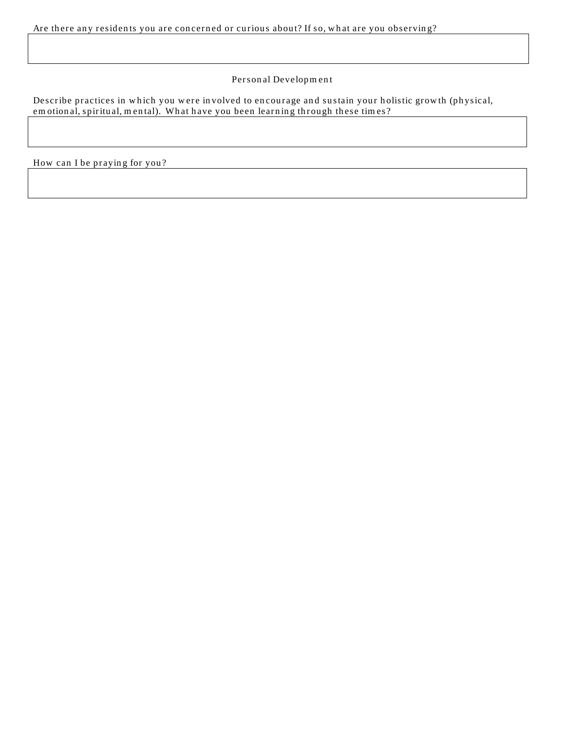Are there any residents you are concerned or curious about? If so, what are you observing?

#### Person al Developm en t

Describe practices in which you were involved to encourage and sustain your holistic growth (physical, em otion al, spiritu al, m en tal). Wh at h ave you been learn in g th rou gh th ese tim es?

How can I be praying for you?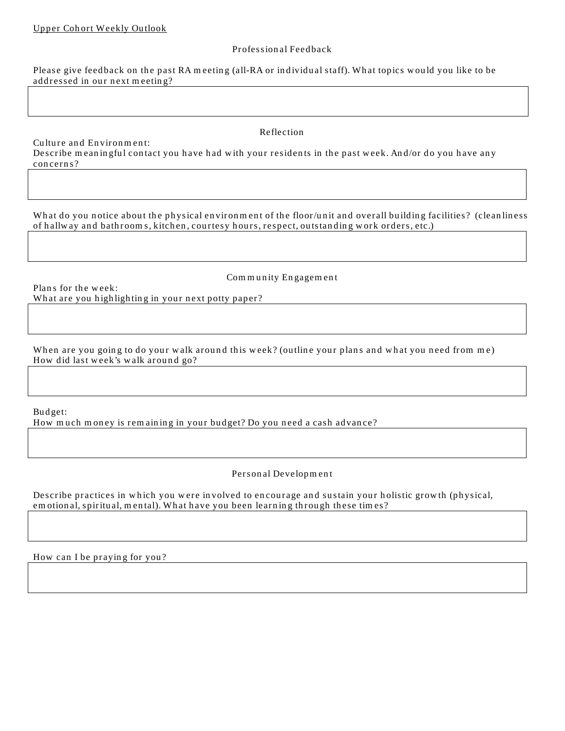#### Profession al Feedback

Please give feedback on the past RA meeting (all-RA or individual staff). What topics would you like to be addressed in our next meeting?

Culture and Environment:

Describe meaningful contact you have had with your residents in the past week. And/or do you have any concerns?

What do you notice about the physical environment of the floor/unit and overall building facilities? (cleanliness of hallway and bathrooms, kitchen, courtesy hours, respect, outstanding work orders, etc.)

Plans for the week:

Com m un ity En gagem en t

What are you highlighting in your next potty paper?

When are you going to do your walk around this week? (outline your plans and what you need from me) How did last week's walk around go?

Bu dget:

How m uch m oney is rem aining in your budget? Do you need a cash advance?

Person al Developm en t

Describe practices in which you were involved to encourage and sustain your holistic growth (physical, em otional, spiritual, mental). What have you been learning through these times?

How can I be praying for you?

Reflection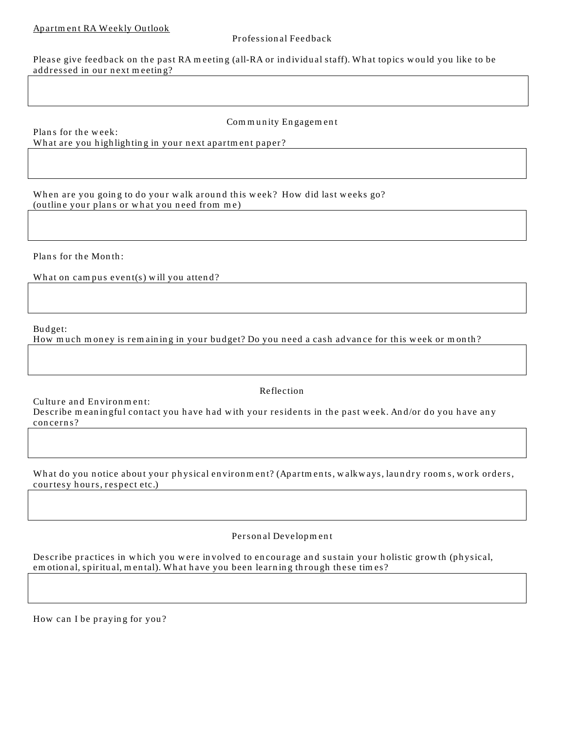#### Profession al Feedback

Please give feedback on the past RA meeting (all-RA or individual staff). What topics would you like to be addressed in our next meeting?

Plans for the week:

Com m un ity En gagem en t

What are you highlighting in your next apartment paper?

When are you going to do your walk around this week? How did last weeks go? (outline your plans or what you need from me)

Plans for the Month:

What on campus event(s) will you attend?

Bu dget:

How m uch m oney is rem aining in your budget? Do you need a cash advance for this week or m onth?

Culture an d En viron m en t:

Reflection

Describe meaningful contact you have had with your residents in the past week. And/or do you have any concerns?

What do you notice about your physical environment? (Apartments, walkways, laundry rooms, work orders, courtesy hours, respect etc.)

Person al Developm en t

Describe practices in which you were involved to encourage and sustain your holistic growth (physical, em otional, spiritual, mental). What have you been learning through these times?

How can I be praying for you?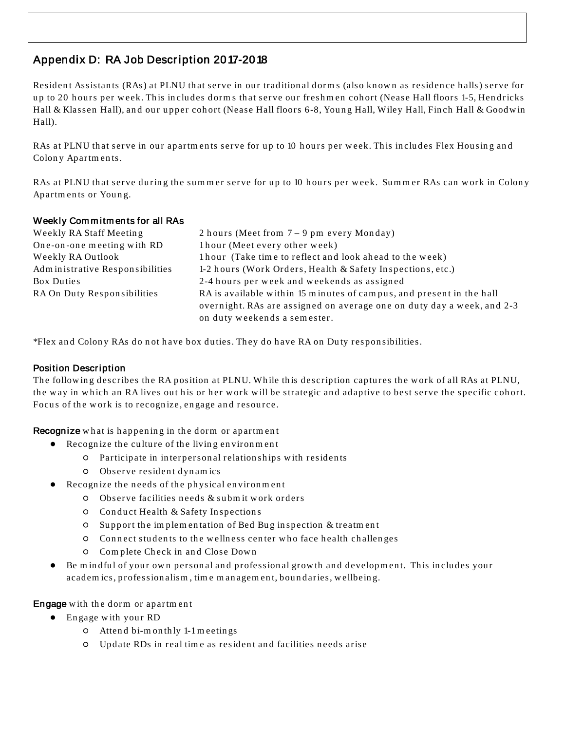# Appendix D: RA Job Descr iption 2017-2018

Resident Assistants (RAs) at PLNU that serve in our traditional dorms (also known as residence halls) serve for up to 20 hours per week. This includes dorms that serve our freshmen cohort (Nease Hall floors 1-5, Hendricks Hall & Klassen Hall), and our upper cohort (Nease Hall floors 6-8, Young Hall, Wiley Hall, Finch Hall & Goodwin Hall).

RAs at PLNU that serve in our apartments serve for up to 10 hours per week. This includes Flex Housing and Colony Apartments.

RAs at PLNU that serve during the summer serve for up to 10 hours per week. Summer RAs can work in Colony Apartments or Young.

# Weekly Com m itm ents for all RAs

| Weekly RA Staff Meeting         | 2 hours (Meet from $7 - 9$ pm every Monday)                            |
|---------------------------------|------------------------------------------------------------------------|
| One-on-one meeting with RD      | 1hour (Meet every other week)                                          |
| Weekly RA Outlook               | Thour (Take time to reflect and look ahead to the week)                |
| Administrative Responsibilities | 1-2 hours (Work Orders, Health & Safety Inspections, etc.)             |
| Box Duties                      | 2-4 hours per week and weekends as assigned                            |
| RA On Duty Responsibilities     | RA is available within 15 minutes of campus, and present in the hall   |
|                                 | overnight. RAs are assigned on average one on duty day a week, and 2-3 |
|                                 | on duty weekends a semester.                                           |

\*Flex and Colony RAs do not have box duties. They do have RA on Duty responsibilities.

# Position Descr iption

The following describes the RA position at PLNU. While this description captures the work of all RAs at PLNU, the way in which an RA lives out his or her work will be strategic and adaptive to best serve the specific cohort. Focus of the work is to recognize, engage and resource.

### Recognize what is happening in the dorm or apartm ent

- Recogn ize the culture of the livin g en viron m en t
	- Participate in in terperson al relation ships with residen ts
	- Observe residen t dyn am ics
	- Recognize the needs of the physical environment
		- Observe facilities n eeds & su bm it w ork orders
		- Con du ct Health & Safety In spection s
		- Su pport th e im plem en tation of Bed Bu g in spection & treatm en t
		- $\circ$  Connect students to the wellness center who face health challenges
		- Com plete Ch eck in an d Close Dow n
- Be mindful of your own personal and professional growth and development. This includes your academ ics, profession alism , tim e m an agem en t, bou n daries, w ellbein g.

Engage with the dorm or apartm ent

- Engage with your RD
	- Attend bi-m on thly 1-1 m eetin gs
	- Update RDs in real tim e as residen t an d facilities n eeds arise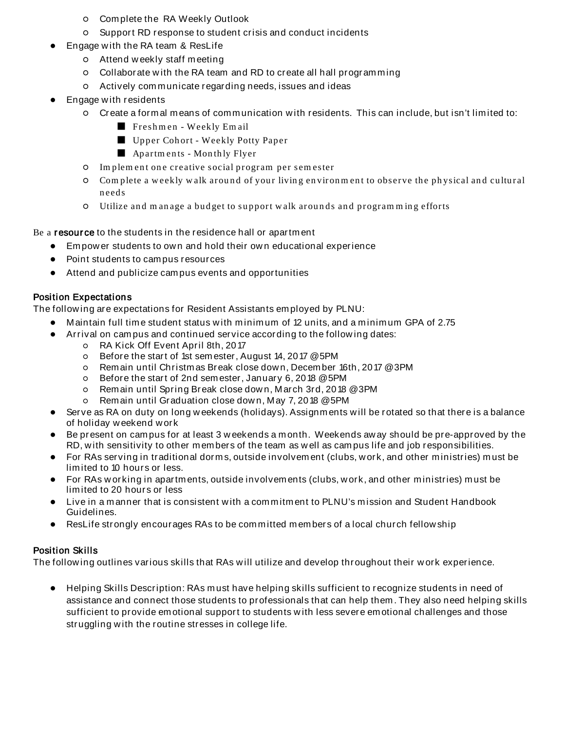- Com plete the RA Weekly Outlook
- Support RD response to student crisis and conduct incidents
- Engage with the RA team & ResLife
	- Attend w eekly staff m eeting
	- Collaborate w ith the RA team and RD to create all hall program m ing
	- Actively com municate regarding needs, issues and ideas
- Engage with residents
	- Create a form al m eans of comm unication w ith residents. This can include, but isn't lim ited to:
		- Freshmen Weekly Em ail
		- Upper Cohort Weekly Potty Paper
		- Apartments Monthly Flyer
	- Im plem en t on e creative social program per sem ester
	- $\circ$  Complete a weekly walk around of your living environment to observe the physical and cultural needs
	- Utilize and m an age a budget to support walk arounds and program m ing efforts

Be a resource to the students in the residence hall or apartment

- Em pow er students to own and hold their own educational experience
- Point students to campus resources
- Attend and publicize campus events and opportunities

# Position Expectations

The follow ing are expectations for Resident Assistants em ployed by PLNU:

- Maintain full time student status with minimum of 12 units, and a minimum GPA of 2.75
- Arrival on cam pus and continued service according to the follow ing dates:
	- RA Kick Off Event April 8th, 2017
		- Before the start of 1st sem ester, August 14, 2017 @ 5PM
	- Remain until Christm as Break close dow n, Decem ber 16th, 2017 @ 3PM
	- Before the start of 2nd sem ester, January 6, 2018 @ 5PM
	- Remain until Spring Break close dow n, March 3rd, 2018 @ 3PM
	- Remain until Graduation close dow n, May 7, 2018 @ 5PM
- Serve as RA on duty on long w eekends (holidays). Assignments will be rotated so that there is a balance of holiday w eekend w ork
- Be present on campus for at least 3 w eekends a month. Weekends aw ay should be pre-approved by the RD, w ith sensitivity to other m em bers of the team as w ell as cam pus life and job responsibilities.
- For RAs serving in traditional dorms, outside involvement (clubs, w ork, and other ministries) must be lim ited to 10 hours or less.
- For RAs w orking in apartments, outside involvements (clubs, w ork, and other ministries) must be lim ited to 20 hours or less
- Live in a manner that is consistent with a commitment to PLNU's mission and Student Handbook Guidelines.
- ResLife strongly encourages RAs to be committed m embers of a local church fellow ship

# Position Skills

The follow ing outlines various skills that RAs w ill utilize and develop throughout their w ork experience.

● Helping Skills Description: RAs m ust have helping skills sufficient to recognize students in need of assistance and connect those students to professionals that can help them . They also need helping skills sufficient to provide em otional support to students w ith less severe em otional challenges and those struggling with the routine stresses in college life.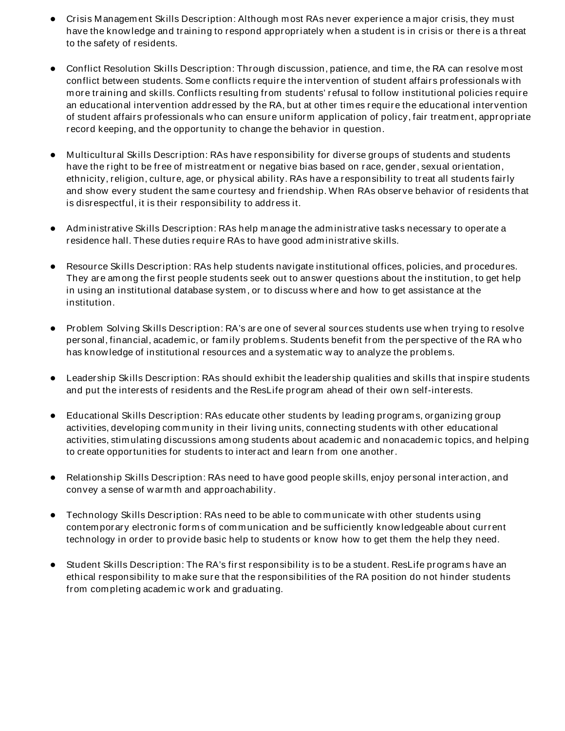- Crisis Managem ent Skills Description: Although most RAs never experience a major crisis, they must have the know ledge and training to respond appropriately when a student is in crisis or there is a threat to the safety of residents.
- Conflict Resolution Skills Description: Through discussion, patience, and time, the RA can resolve most conflict betw een students. Som e conflicts require the intervention of student affairs professionals w ith m ore training and skills. Conflicts resulting from students' refusal to follow institutional policies require an educational intervention addressed by the RA, but at other tim es require the educational intervention of student affairs professionals w ho can ensure uniform application of policy, fair treatm ent, appropriate record keeping, and the opportunity to change the behavior in question.
- Multicultural Skills Description: RAs have responsibility for diverse groups of students and students have the right to be free of mistreatment or negative bias based on race, gender, sexual orientation, ethnicity, religion, culture, age, or physical ability. RAs have a responsibility to treat all students fairly and show every student the sam e courtesy and friendship. When RAs observe behavior of residents that is disrespectful, it is their responsibility to address it.
- Administrative Skills Description: RAs help m anage the administrative tasks necessary to operate a residence hall. These duties require RAs to have good adm inistrative skills.
- Resource Skills Description: RAs help students navigate institutional offices, policies, and procedures. They are among the first people students seek out to answ er questions about the institution, to get help in using an institutional database system , or to discuss w here and how to get assistance at the institution.
- Problem Solving Skills Description: RA's are one of several sources students use w hen trying to resolve personal, financial, academ ic, or family problem s. Students benefit from the perspective of the RA w ho has know ledge of institutional resources and a systematic w ay to analyze the problems.
- Leadership Skills Description: RAs should exhibit the leadership qualities and skills that inspire students and put the interests of residents and the ResLife program ahead of their own self-interests.
- Educational Skills Description: RAs educate other students by leading programs, organizing group activities, developing com munity in their living units, connecting students w ith other educational activities, stim ulating discussions among students about academ ic and nonacadem ic topics, and helping to create opportunities for students to interact and learn from one another.
- Relationship Skills Description: RAs need to have good people skills, enjoy personal interaction, and convey a sense of w armth and approachability.
- Technology Skills Description: RAs need to be able to communicate with other students using contem porary electronic form s of com munication and be sufficiently know ledgeable about current technology in order to provide basic help to students or know how to get them the help they need.
- Student Skills Description: The RA's first responsibility is to be a student. ResLife programs have an ethical responsibility to m ake sure that the responsibilities of the RA position do not hinder students from com pleting academ ic w ork and graduating.